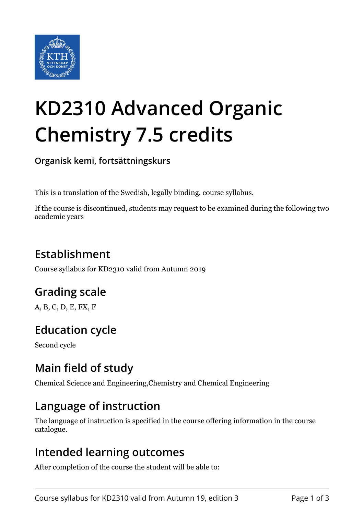

# **KD2310 Advanced Organic Chemistry 7.5 credits**

**Organisk kemi, fortsättningskurs**

This is a translation of the Swedish, legally binding, course syllabus.

If the course is discontinued, students may request to be examined during the following two academic years

## **Establishment**

Course syllabus for KD2310 valid from Autumn 2019

## **Grading scale**

A, B, C, D, E, FX, F

## **Education cycle**

Second cycle

## **Main field of study**

Chemical Science and Engineering,Chemistry and Chemical Engineering

#### **Language of instruction**

The language of instruction is specified in the course offering information in the course catalogue.

#### **Intended learning outcomes**

After completion of the course the student will be able to: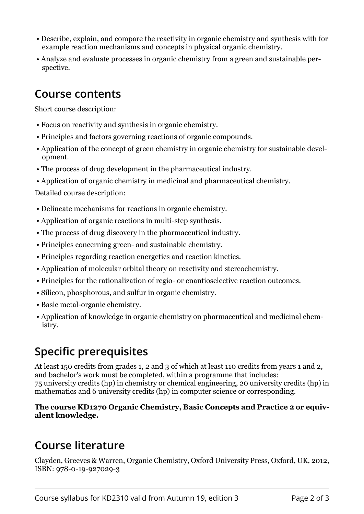- Describe, explain, and compare the reactivity in organic chemistry and synthesis with for example reaction mechanisms and concepts in physical organic chemistry.
- Analyze and evaluate processes in organic chemistry from a green and sustainable perspective.

#### **Course contents**

Short course description:

- Focus on reactivity and synthesis in organic chemistry.
- Principles and factors governing reactions of organic compounds.
- Application of the concept of green chemistry in organic chemistry for sustainable development.
- The process of drug development in the pharmaceutical industry.
- Application of organic chemistry in medicinal and pharmaceutical chemistry.

Detailed course description:

- Delineate mechanisms for reactions in organic chemistry.
- Application of organic reactions in multi-step synthesis.
- The process of drug discovery in the pharmaceutical industry.
- Principles concerning green- and sustainable chemistry.
- Principles regarding reaction energetics and reaction kinetics.
- Application of molecular orbital theory on reactivity and stereochemistry.
- Principles for the rationalization of regio- or enantioselective reaction outcomes.
- Silicon, phosphorous, and sulfur in organic chemistry.
- Basic metal-organic chemistry.
- Application of knowledge in organic chemistry on pharmaceutical and medicinal chemistry.

# **Specific prerequisites**

At least 150 credits from grades 1, 2 and 3 of which at least 110 credits from years 1 and 2, and bachelor's work must be completed, within a programme that includes: 75 university credits (hp) in chemistry or chemical engineering, 20 university credits (hp) in mathematics and 6 university credits (hp) in computer science or corresponding.

The course KD1270 Organic Chemistry, Basic Concepts and Practice 2 or equiv**alent** knowledge.

# **Course literature**

Clayden, Greeves & Warren, Organic Chemistry, Oxford University Press, Oxford, UK, 2012, ISBN: 978-0-19-927029-3